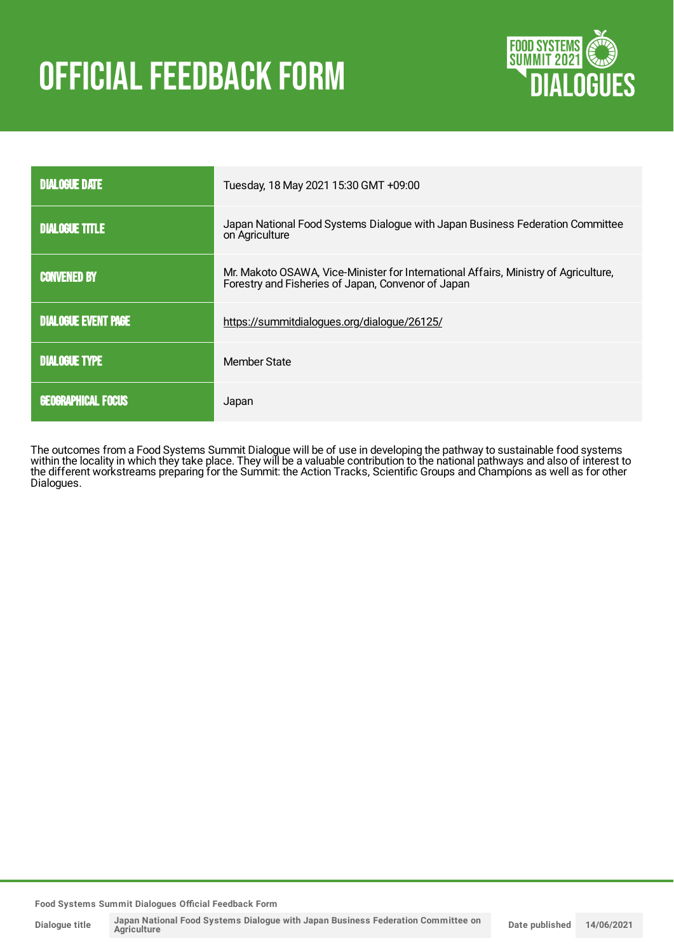# **OFFICIAL FEEDBACK FORM**



| <b>DIALOGUE DATE</b>       | Tuesday, 18 May 2021 15:30 GMT +09:00                                                                                                     |  |
|----------------------------|-------------------------------------------------------------------------------------------------------------------------------------------|--|
| <b>DIALOGUE TITLE</b>      | Japan National Food Systems Dialogue with Japan Business Federation Committee<br>on Agriculture                                           |  |
| <b>CONVENED BY</b>         | Mr. Makoto OSAWA, Vice-Minister for International Affairs, Ministry of Agriculture,<br>Forestry and Fisheries of Japan, Convenor of Japan |  |
| <b>DIALOGUE EVENT PAGE</b> | https://summitdialogues.org/dialogue/26125/                                                                                               |  |
| <b>DIALOGUE TYPE</b>       | Member State                                                                                                                              |  |
| <b>GEOGRAPHICAL FOCUS</b>  | Japan                                                                                                                                     |  |

The outcomes from a Food Systems Summit Dialogue will be of use in developing the pathway to sustainable food systems within the locality in which they take place. They will be a valuable contribution to the national pathways and also of interest to the different workstreams preparing for the Summit: the Action Tracks, Scientific Groups and Champions as well as for other Dialogues.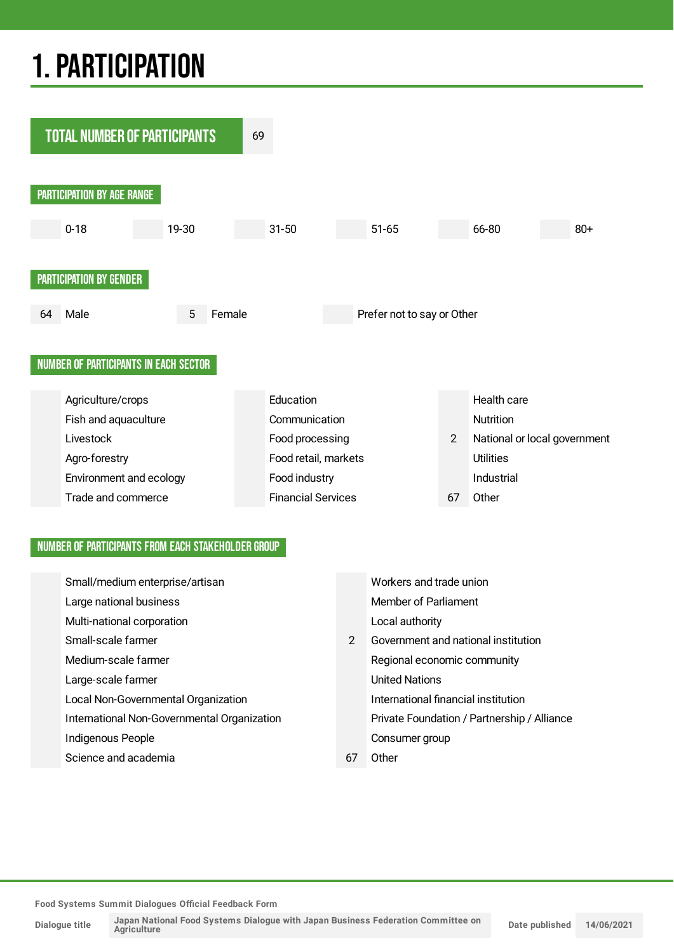## 1.PARTICIPATION



#### NUMBER OF PARTICIPANTS FROM EACH STAKEHOLDER GROUP

| Small/medium enterprise/artisan             |                | Workers and trade union                     |
|---------------------------------------------|----------------|---------------------------------------------|
| Large national business                     |                | Member of Parliament                        |
| Multi-national corporation                  |                | Local authority                             |
| Small-scale farmer                          | $\overline{2}$ | Government and national institution         |
| Medium-scale farmer                         |                | Regional economic community                 |
| Large-scale farmer                          |                | <b>United Nations</b>                       |
| Local Non-Governmental Organization         |                | International financial institution         |
| International Non-Governmental Organization |                | Private Foundation / Partnership / Alliance |
| Indigenous People                           |                | Consumer group                              |
| Science and academia                        | 67             | Other                                       |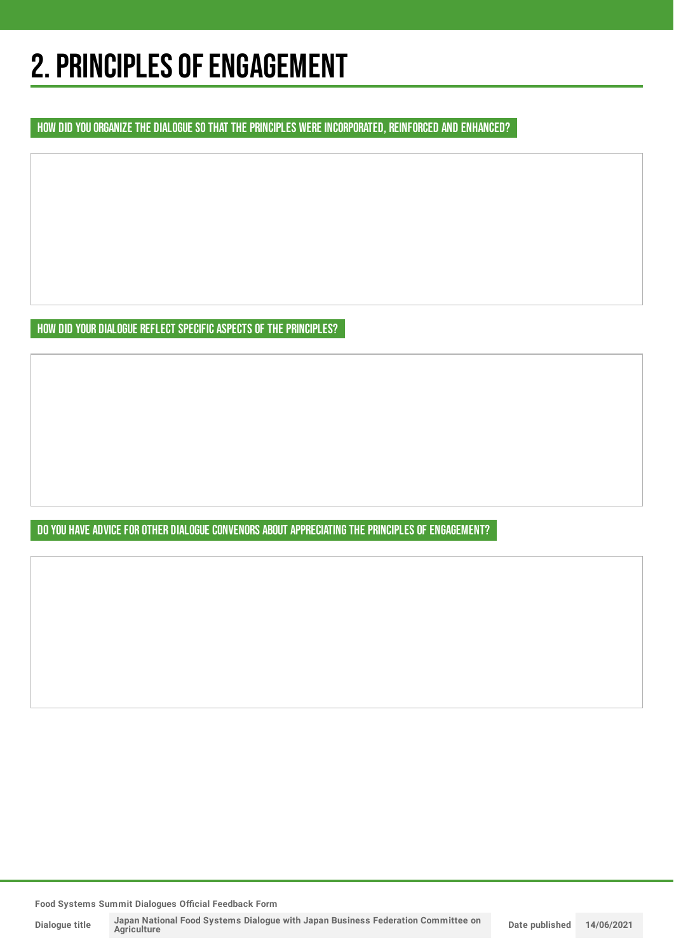## 2. PRINCIPLES OF ENGAGEMENT

HOW DID YOU ORGANIZE THE DIALOGUE SO THAT THE PRINCIPLES WERE INCORPORATED, REINFORCED AND ENHANCED?

HOW DID YOUR DIALOGUE REFLECT SPECIFIC ASPECTS OF THE PRINCIPLES?

DO YOU HAVE ADVICE FOR OTHER DIALOGUE CONVENORS ABOUT APPRECIATING THE PRINCIPLES OF ENGAGEMENT?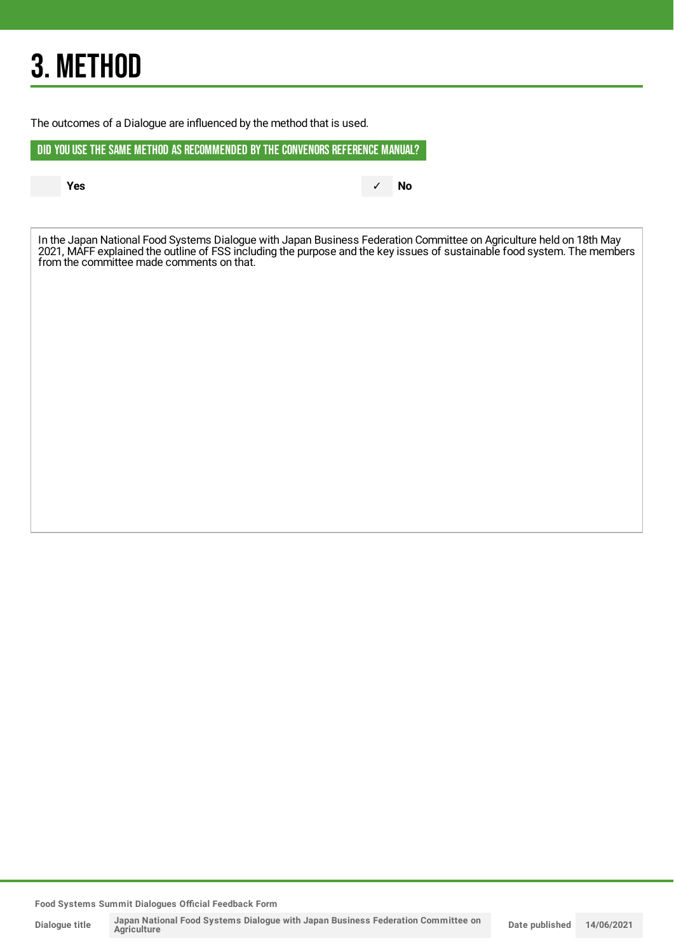## 3. METHOD

The outcomes of a Dialogue are influenced by the method that is used.

DID YOU USE THE SAME METHOD AS RECOMMENDED BYTHE CONVENORS REFERENCE MANUAL?

**Yes** ✓ **No**

In the Japan National Food Systems Dialogue with Japan Business Federation Committee on Agriculture held on 18th May 2021, MAFF explained the outline of FSS including the purpose and the key issues of sustainable food system. The members from the committee made comments on that.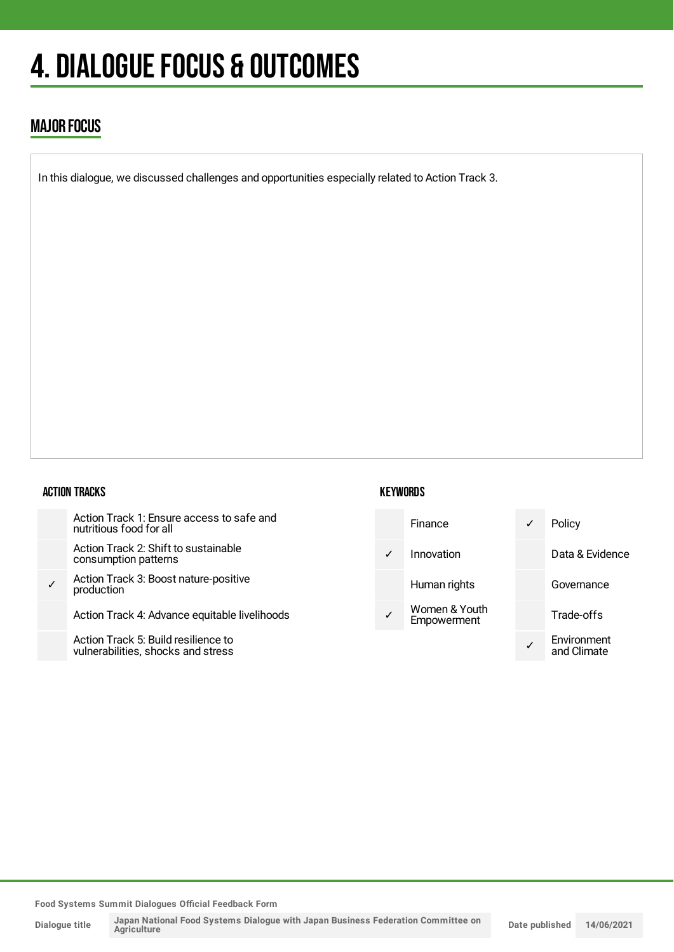## 4. DIALOGUE FOCUS & OUTCOMES

### MAJOR FOCUS

In this dialogue, we discussed challenges and opportunities especially related to Action Track 3.

#### ACTION TRACKS

| Action Track 1: Ensure access to safe and<br>nutritious food for all      |
|---------------------------------------------------------------------------|
| Action Track 2: Shift to sustainable<br>consumption patterns              |
| Action Track 3: Boost nature-positive<br>production                       |
| Action Track 4: Advance equitable livelihoods                             |
| Action Track 5: Build resilience to<br>vulnerabilities, shocks and stress |

#### **KEYWORDS**

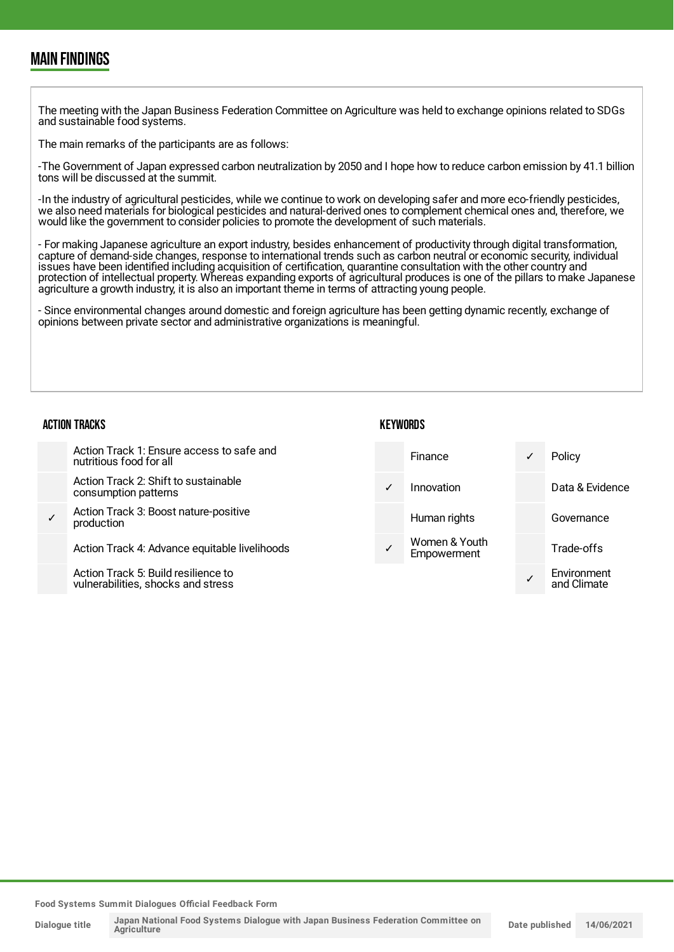### MAIN FINDINGS

The meeting with the Japan Business Federation Committee on Agriculture was held to exchange opinions related to SDGs and sustainable food systems.

The main remarks of the participants are as follows:

-The Government of Japan expressed carbon neutralization by 2050 and I hope how to reduce carbon emission by 41.1 billion tons will be discussed at the summit.

-In the industry of agricultural pesticides, while we continue to work on developing safer and more eco-friendly pesticides, we also need materials for biological pesticides and natural-derived ones to complement chemical ones and, therefore, we would like the government to consider policies to promote the development of such materials.

- For making Japanese agriculture an export industry, besides enhancement of productivity through digital transformation, capture of demand-side changes, response to international trends such as carbon neutral or economic security, individual issues have been identified including acquisition of certification, quarantine consultation with the other country and protection of intellectual property. Whereas expanding exports of agricultural produces is one of the pillars to make Japanese agriculture a growth industry, it is also an important theme in terms of attracting young people.

- Since environmental changes around domestic and foreign agriculture has been getting dynamic recently, exchange of opinions between private sector and administrative organizations is meaningful.

#### **ACTION TRACKS**

✓

| IUN INALNJ                                                                | REIWUNUJ |                              |                            |
|---------------------------------------------------------------------------|----------|------------------------------|----------------------------|
| Action Track 1: Ensure access to safe and<br>nutritious food for all      |          | Finance                      | Policy                     |
| Action Track 2: Shift to sustainable<br>consumption patterns              |          | Innovation                   | Data & Evidence            |
| Action Track 3: Boost nature-positive<br>production                       |          | Human rights                 | Governance                 |
| Action Track 4: Advance equitable livelihoods                             |          | Women & Youth<br>Empowerment | Trade-offs                 |
| Action Track 5: Build resilience to<br>vulnerabilities, shocks and stress |          |                              | Environment<br>and Climate |

KEYWORDS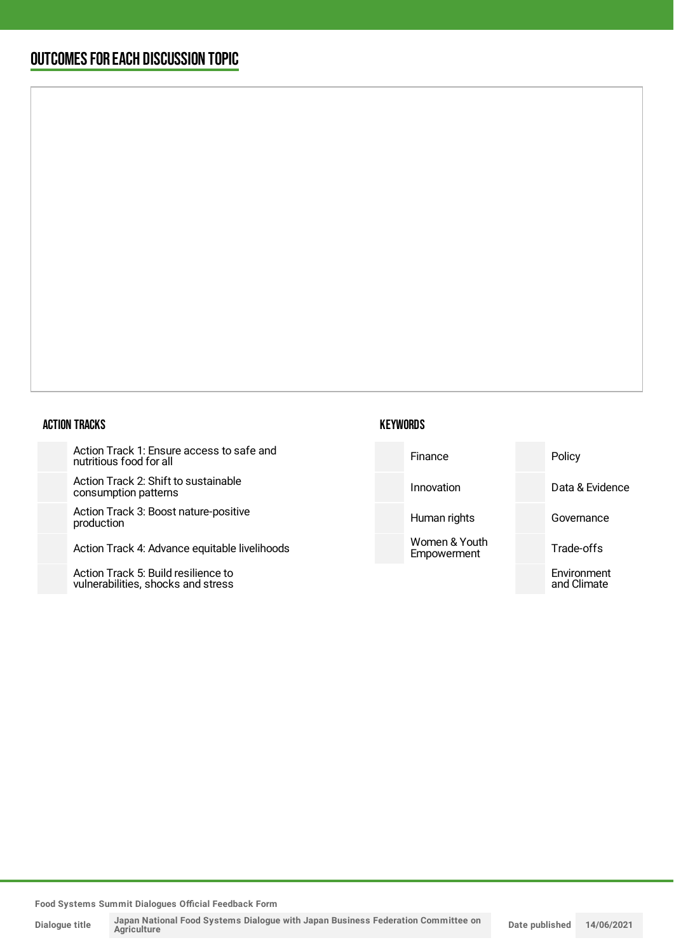### OUTCOMESFOR EACH DISCUSSION TOPIC

#### ACTION TRACKS

Action Track 1: Ensure access to safe and nutritious food for all

Action Track 2: Shift to sustainable consumption patterns

Action Track 3: Boost nature-posit production

Action Track 4: Advance equitable

Action Track 5: Build resilience to vulnerabilities, shocks and stress

| safe and    | Finance                      | Policy                     |
|-------------|------------------------------|----------------------------|
| e           | Innovation                   | Data & Evidence            |
| ive         | Human rights                 | Governance                 |
| livelihoods | Women & Youth<br>Empowerment | Trade-offs                 |
|             |                              | Environment<br>and Climate |
|             |                              |                            |

**Food Systems Summit Dialogues Official Feedback Form**

**Dialogue title**